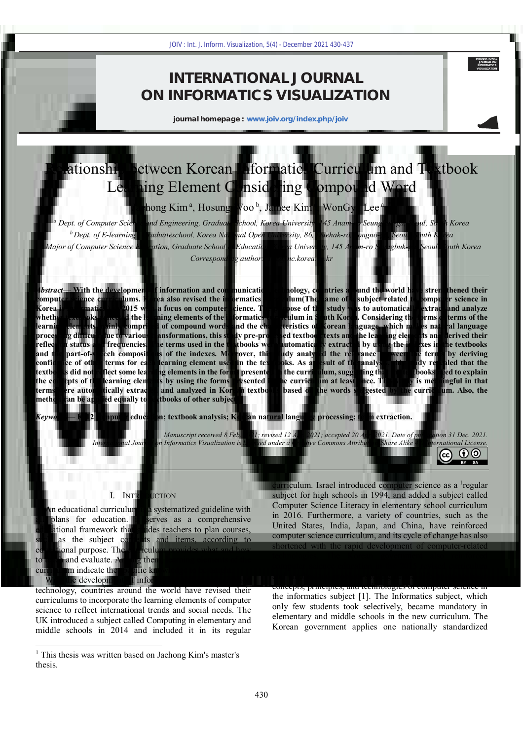# **INTERNATIONAL JOURNAL ON INFORMATICS VISUALIZATION**

**journal homepage : www.joiv.org/index.php/joiv**

# Relationship between Korean Informatics Curriculum and Textbook Learning Element Considering Compound Word

Jaehong Kim<sup>a</sup>, Hosung Woo<sup>b</sup>, Jamee Kim<sup>c</sup>, WonGyu Lee<sup>a,\*</sup>

*a Dept. of Computer Science and Engineering, Graduate School, Korea University, 145 Anam-ro Seungbuk-gu, Seoul, South Korea <sup>b</sup>Dept. of E-learning , Graduateschool, Korea National Open University, 86, Daehak-ro, Jongno-gu, Seoul, South Korea <sup>c</sup>Major of Computer Science Education, Graduate School of Education, Korea University, 145 Anam-ro Seungbuk-gu, Seoul, South Korea Corresponding author: \* lee@inc.korea.ac.kr* 

*Abstract*— **With the development of information and communication technology, countries around the world have strengthened their computer science curriculums. Korea also revised the informatics curriculum(The name of a subject related to computer science in Korea is informatics.) in 2015 with a focus on computer science. The purpose of this study was to automatically extract and analyze whether textbooks reflected the learning elements of the informatics curriculum in South Korea. Considering the forms of terms of the learning elements mainly comprised of compound words and the characteristics of Korean language, which makes natural language processing difficult due to various transformations, this study pre-processed textbook texts and the learning elements and derived their reflection status and frequencies. The terms used in the textbooks were automatically extracted by using the indexes in the textbooks and the part-of-speech compositions of the indexes. Moreover, this study analyzed the relevance between the terms by deriving confidence of other terms for each learning element used in the textbooks. As a result of the analysis, this study revealed that the textbooks did not reflect some learning elements in the forms presented in the curriculum, suggesting that the textbooks need to explain the concepts of the learning elements by using the forms presented in the curriculum at least once. This study is meaningful in that terms were automatically extracted and analyzed in Korean textbooks based on the words suggested by the curriculum. Also, the method can be applied equally to textbooks of other subjects.** 100<sup>1</sup> : Int. J. Inform. Visualization, 5(d) - December 2021 430-437<br>
1007 : Int. J. Inform. Visualization, 5(d) - December 2021 430-437<br>
11 . INTERNATICS VISUALIZA<br>
journal homepage : www.joiv.org/index.php/joiv<br>
21 . In

*Keywords*— **K-12 computer education; textbook analysis; Korean natural language processing; term extraction.** 

*Manuscript received 8 Feb. 2021; revised 12 Apr. 2021; accepted 20 Apr. 2021. Date of publication 31 Dec. 2021. International Journal on Informatics Visualization is licensed under a Creative Commons Attribution-Share Alike 4.0 International License.*  $\mathbf{r}$  (c) (cc

# I. INTRODUCTION

An educational curriculum is a systematized guideline with all plans for education. it serves as a comprehensive educational framework that guides teachers to plan courses, such as the subject contents and items, according to educational purpose. The curriculum provides what and how to teach and evaluate. Among them, learning elements of the curriculum indicate the specific knowledge to be taught.

With the development of information and communication technology, countries around the world have revised their curriculums to incorporate the learning elements of computer science to reflect international trends and social needs. The UK introduced a subject called Computing in elementary and middle schools in 2014 and included it in its regular

 $\overline{a}$ 

curriculum. Israel introduced computer science as a <sup>1</sup>regular subject for high schools in 1994, and added a subject called Computer Science Literacy in elementary school curriculum in 2016. Furthermore, a variety of countries, such as the United States, India, Japan, and China, have reinforced computer science curriculum, and its cycle of change has also shortened with the rapid development of computer-related technologies. The Korean government also reinforced computer science education in the 2015 revised curriculum and emphasized problem-solving in real life by using basic concepts, principles, and technologies of computer science in the informatics subject [1]. The Informatics subject, which only few students took selectively, became mandatory in elementary and middle schools in the new curriculum. The Korean government applies one nationally standardized

**INTERNATIONAL JOURNAL ON INFORMATICS VISUALIZATION**

 $RY$  SA

<sup>&</sup>lt;sup>1</sup> This thesis was written based on Jaehong Kim's master's thesis.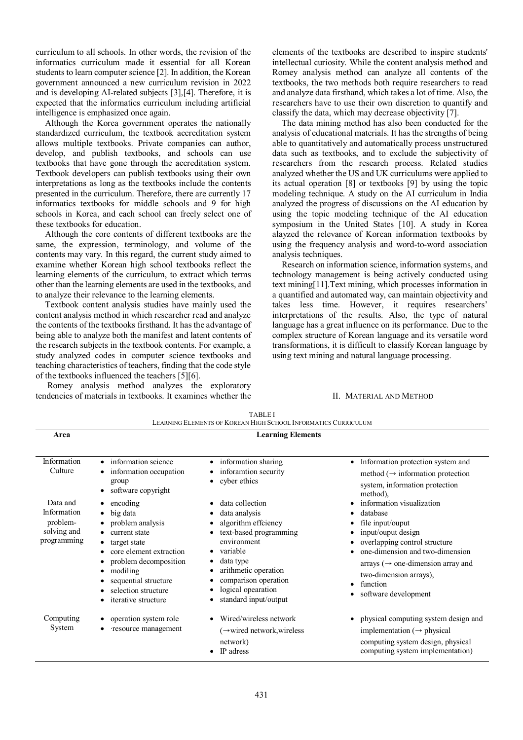curriculum to all schools. In other words, the revision of the informatics curriculum made it essential for all Korean students to learn computer science [2]. In addition, the Korean government announced a new curriculum revision in 2022 and is developing AI-related subjects [3],[4]. Therefore, it is expected that the informatics curriculum including artificial intelligence is emphasized once again.

Although the Korea government operates the nationally standardized curriculum, the textbook accreditation system allows multiple textbooks. Private companies can author, develop, and publish textbooks, and schools can use textbooks that have gone through the accreditation system. Textbook developers can publish textbooks using their own interpretations as long as the textbooks include the contents presented in the curriculum. Therefore, there are currently 17 informatics textbooks for middle schools and 9 for high schools in Korea, and each school can freely select one of these textbooks for education.

Although the core contents of different textbooks are the same, the expression, terminology, and volume of the contents may vary. In this regard, the current study aimed to examine whether Korean high school textbooks reflect the learning elements of the curriculum, to extract which terms other than the learning elements are used in the textbooks, and to analyze their relevance to the learning elements.

Textbook content analysis studies have mainly used the content analysis method in which researcher read and analyze the contents of the textbooks firsthand. It has the advantage of being able to analyze both the manifest and latent contents of the research subjects in the textbook contents. For example, a study analyzed codes in computer science textbooks and teaching characteristics of teachers, finding that the code style of the textbooks influenced the teachers [5][6].

 Romey analysis method analyzes the exploratory tendencies of materials in textbooks. It examines whether the elements of the textbooks are described to inspire students' intellectual curiosity. While the content analysis method and Romey analysis method can analyze all contents of the textbooks, the two methods both require researchers to read and analyze data firsthand, which takes a lot of time. Also, the researchers have to use their own discretion to quantify and classify the data, which may decrease objectivity [7].

The data mining method has also been conducted for the analysis of educational materials. It has the strengths of being able to quantitatively and automatically process unstructured data such as textbooks, and to exclude the subjectivity of researchers from the research process. Related studies analyzed whether the US and UK curriculums were applied to its actual operation [8] or textbooks [9] by using the topic modeling technique. A study on the AI curriculum in India analyzed the progress of discussions on the AI education by using the topic modeling technique of the AI education symposium in the United States [10]. A study in Korea alayzed the relevance of Korean information textbooks by using the frequency analysis and word-to-word association analysis techniques.

Research on information science, information systems, and technology management is being actively conducted using text mining[11].Text mining, which processes information in a quantified and automated way, can maintain objectivity and takes less time. However, it requires researchers' interpretations of the results. Also, the type of natural language has a great influence on its performance. Due to the complex structure of Korean language and its versatile word transformations, it is difficult to classify Korean language by using text mining and natural language processing.

# II. MATERIAL AND METHOD

| <b>TABLEI</b><br>LEARNING ELEMENTS OF KOREAN HIGH SCHOOL INFORMATICS CURRICULUM |                                                                                                                                                                                                                                            |                                                                                                                                                                                                                                       |                                                                                                                                                                                                                                                                          |  |  |  |  |  |
|---------------------------------------------------------------------------------|--------------------------------------------------------------------------------------------------------------------------------------------------------------------------------------------------------------------------------------------|---------------------------------------------------------------------------------------------------------------------------------------------------------------------------------------------------------------------------------------|--------------------------------------------------------------------------------------------------------------------------------------------------------------------------------------------------------------------------------------------------------------------------|--|--|--|--|--|
| Area                                                                            | <b>Learning Elements</b>                                                                                                                                                                                                                   |                                                                                                                                                                                                                                       |                                                                                                                                                                                                                                                                          |  |  |  |  |  |
| Information<br>Culture                                                          | • information science<br>information occupation<br>group<br>software copyright<br>$\bullet$                                                                                                                                                | • information sharing<br>inforamtion security<br>cyber ethics                                                                                                                                                                         | Information protection system and<br>$\bullet$<br>method ( $\rightarrow$ information protection<br>system, information protection<br>method),                                                                                                                            |  |  |  |  |  |
| Data and<br>Information<br>problem-<br>solving and<br>programming               | encoding<br>big data<br>٠<br>problem analysis<br>current state<br>target state<br>core element extraction<br>problem decomposition<br>modiling<br>٠<br>sequential structure<br>٠<br>selection structure<br>٠<br><i>iterative</i> structure | data collection<br>data analysis<br>algorithm effciency<br>text-based programming<br>environment<br>variable<br>$\bullet$<br>data type<br>arithmetic operation<br>comparison operation<br>logical opearation<br>standard input/output | information visualization<br>database<br>file input/ouput<br>input/ouput design<br>overlapping control structure<br>one-dimension and two-dimension<br>arrays ( $\rightarrow$ one-dimension array and<br>two-dimension arrays),<br>function<br>٠<br>software development |  |  |  |  |  |
| Computing<br>System                                                             | operation system role<br>٠<br>resource management                                                                                                                                                                                          | Wired/wireless network<br>$(\rightarrow$ wired network, wireless<br>network)<br>IP adress                                                                                                                                             | physical computing system design and<br>implementation ( $\rightarrow$ physical<br>computing system design, physical<br>computing system implementation)                                                                                                                 |  |  |  |  |  |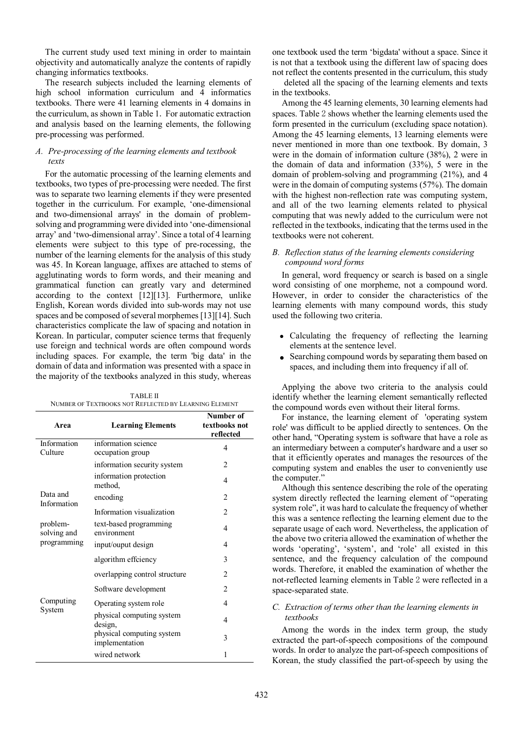The current study used text mining in order to maintain objectivity and automatically analyze the contents of rapidly changing informatics textbooks.

The research subjects included the learning elements of high school information curriculum and 4 informatics textbooks. There were 41 learning elements in 4 domains in the curriculum, as shown in Table 1. For automatic extraction and analysis based on the learning elements, the following pre-processing was performed.

# *A. Pre-processing of the learning elements and textbook texts*

For the automatic processing of the learning elements and textbooks, two types of pre-processing were needed. The first was to separate two learning elements if they were presented together in the curriculum. For example, 'one-dimensional and two-dimensional arrays' in the domain of problemsolving and programming were divided into 'one-dimensional array' and 'two-dimensional array'. Since a total of 4 learning elements were subject to this type of pre-rocessing, the number of the learning elements for the analysis of this study was 45. In Korean language, affixes are attached to stems of agglutinating words to form words, and their meaning and grammatical function can greatly vary and determined according to the context [12][13]. Furthermore, unlike English, Korean words divided into sub-words may not use spaces and be composed of several morphemes [13][14]. Such characteristics complicate the law of spacing and notation in Korean. In particular, computer science terms that frequenly use foreign and technical words are often compound words including spaces. For example, the term 'big data' in the domain of data and information was presented with a space in the majority of the textbooks analyzed in this study, whereas

| <b>TABLE II</b>                                       |  |
|-------------------------------------------------------|--|
| NUMBER OF TEXTBOOKS NOT REFLECTED BY LEARNING ELEMENT |  |

| Area                    | <b>Learning Elements</b>                    | Number of<br>textbooks not<br>reflected |
|-------------------------|---------------------------------------------|-----------------------------------------|
| Information<br>Culture  | information science<br>occupation group     | 4                                       |
|                         | information security system                 | 2                                       |
|                         | information protection<br>method.           | 4                                       |
| Data and<br>Information | encoding                                    | $\mathfrak{D}$                          |
|                         | Information visualization                   | $\overline{c}$                          |
| problem-<br>solving and | text-based programming<br>environment       | 4                                       |
| programming             | input/ouput design                          | 4                                       |
|                         | algorithm effciency                         | 3                                       |
|                         | overlapping control structure               | $\overline{c}$                          |
|                         | Software development                        | $\overline{c}$                          |
| Computing               | Operating system role                       | 4                                       |
| System                  | physical computing system<br>design,        | 4                                       |
|                         | physical computing system<br>implementation | 3                                       |
|                         | wired network                               | 1                                       |

one textbook used the term 'bigdata' without a space. Since it is not that a textbook using the different law of spacing does not reflect the contents presented in the curriculum, this study

 deleted all the spacing of the learning elements and texts in the textbooks.

Among the 45 learning elements, 30 learning elements had spaces. Table 2 shows whether the learning elements used the form presented in the curriculum (excluding space notation). Among the 45 learning elements, 13 learning elements were never mentioned in more than one textbook. By domain, 3 were in the domain of information culture (38%), 2 were in the domain of data and information (33%), 5 were in the domain of problem-solving and programming (21%), and 4 were in the domain of computing systems (57%). The domain with the highest non-reflection rate was computing system, and all of the two learning elements related to physical computing that was newly added to the curriculum were not reflected in the textbooks, indicating that the terms used in the textbooks were not coherent.

# *B. Reflection status of the learning elements considering compound word forms*

In general, word frequency or search is based on a single word consisting of one morpheme, not a compound word. However, in order to consider the characteristics of the learning elements with many compound words, this study used the following two criteria.

- Calculating the frequency of reflecting the learning elements at the sentence level.
- Searching compound words by separating them based on spaces, and including them into frequency if all of.

Applying the above two criteria to the analysis could identify whether the learning element semantically reflected the compound words even without their literal forms.

For instance, the learning element of 'operating system role' was difficult to be applied directly to sentences. On the other hand, "Operating system is software that have a role as an intermediary between a computer's hardware and a user so that it efficiently operates and manages the resources of the computing system and enables the user to conveniently use the computer."

Although this sentence describing the role of the operating system directly reflected the learning element of "operating system role", it was hard to calculate the frequency of whether this was a sentence reflecting the learning element due to the separate usage of each word. Nevertheless, the application of the above two criteria allowed the examination of whether the words 'operating', 'system', and 'role' all existed in this sentence, and the frequency calculation of the compound words. Therefore, it enabled the examination of whether the not-reflected learning elements in Table 2 were reflected in a space-separated state.

# *C. Extraction of terms other than the learning elements in textbooks*

Among the words in the index term group, the study extracted the part-of-speech compositions of the compound words. In order to analyze the part-of-speech compositions of Korean, the study classified the part-of-speech by using the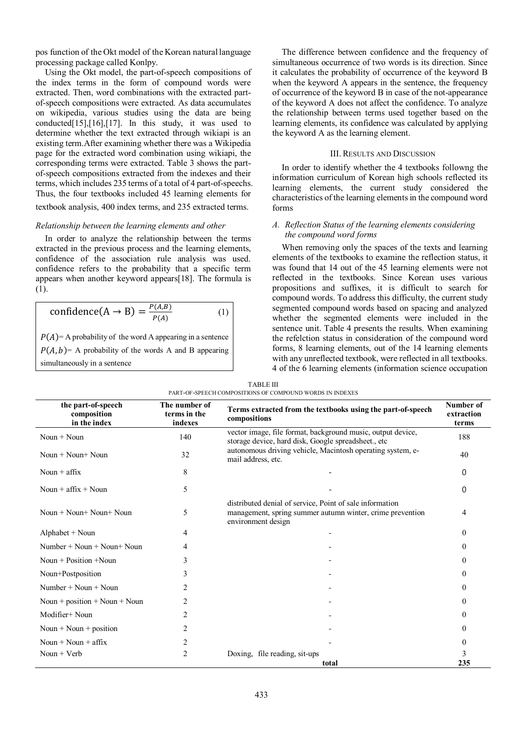pos function of the Okt model of the Korean natural language processing package called Konlpy.

Using the Okt model, the part-of-speech compositions of the index terms in the form of compound words were extracted. Then, word combinations with the extracted partof-speech compositions were extracted. As data accumulates on wikipedia, various studies using the data are being conducted[15],[16],[17]. In this study, it was used to determine whether the text extracted through wikiapi is an existing term.After examining whether there was a Wikipedia page for the extracted word combination using wikiapi, the corresponding terms were extracted. Table 3 shows the partof-speech compositions extracted from the indexes and their terms, which includes 235 terms of a total of 4 part-of-speechs. Thus, the four textbooks included 45 learning elements for

textbook analysis, 400 index terms, and 235 extracted terms.

#### *Relationship between the learning elements and other*

In order to analyze the relationship between the terms extracted in the previous process and the learning elements, confidence of the association rule analysis was used. confidence refers to the probability that a specific term appears when another keyword appears[18]. The formula is (1).

$$
confidence(A \rightarrow B) = \frac{P(A,B)}{P(A)}
$$
 (1)

 $P(A)$  = A probability of the word A appearing in a sentence  $P(A, b)$  = A probability of the words A and B appearing simultaneously in a sentence

The difference between confidence and the frequency of simultaneous occurrence of two words is its direction. Since it calculates the probability of occurrence of the keyword B when the keyword A appears in the sentence, the frequency of occurrence of the keyword B in case of the not-appearance of the keyword A does not affect the confidence. To analyze the relationship between terms used together based on the learning elements, its confidence was calculated by applying the keyword A as the learning element.

#### III. RESULTS AND DISCUSSION

In order to identify whether the 4 textbooks followng the information curriculum of Korean high schools reflected its learning elements, the current study considered the characteristics of the learning elements in the compound word forms

# *A. Reflection Status of the learning elements considering the compound word forms*

When removing only the spaces of the texts and learning elements of the textbooks to examine the reflection status, it was found that 14 out of the 45 learning elements were not reflected in the textbooks. Since Korean uses various propositions and suffixes, it is difficult to search for compound words. To address this difficulty, the current study segmented compound words based on spacing and analyzed whether the segmented elements were included in the sentence unit. Table 4 presents the results. When examining the refelction status in consideration of the compound word forms, 8 learning elements, out of the 14 learning elements with any unreflected textbook, were reflected in all textbooks. 4 of the 6 learning elements (information science occupation

| the part-of-speech<br>composition<br>in the index | The number of<br>terms in the<br>indexes | Terms extracted from the textbooks using the part-of-speech<br>compositions                                                                 | Number of<br>extraction<br>terms |
|---------------------------------------------------|------------------------------------------|---------------------------------------------------------------------------------------------------------------------------------------------|----------------------------------|
| Noun $+$ Noun                                     | 140                                      | vector image, file format, background music, output device,<br>storage device, hard disk, Google spreadsheet., etc                          | 188                              |
| Noun $+$ Noun $+$ Noun                            | 32                                       | autonomous driving vehicle, Macintosh operating system, e-<br>mail address, etc.                                                            | 40                               |
| Noun $+$ affix                                    | 8                                        |                                                                                                                                             | 0                                |
| Noun + $affix + Noun$                             | 5                                        |                                                                                                                                             | 0                                |
| Noun $+$ Noun $+$ Noun $+$ Noun                   | 5                                        | distributed denial of service, Point of sale information<br>management, spring summer autumn winter, crime prevention<br>environment design | 4                                |
| Alphabet $+$ Noun                                 | 4                                        |                                                                                                                                             | $\Omega$                         |
| $Number + Noun + Noun + Noun$                     | 4                                        |                                                                                                                                             | $\Omega$                         |
| Noun $+$ Position $+$ Noun                        | 3                                        |                                                                                                                                             | $\Omega$                         |
| Noun+Postposition                                 | 3                                        |                                                                                                                                             | $\Omega$                         |
| Number + Noun + Noun                              | 2                                        |                                                                                                                                             | $\Omega$                         |
| Noun + position + Noun + Noun                     | $\overline{2}$                           |                                                                                                                                             | $\Omega$                         |
| Modifier+ Noun                                    | 2                                        |                                                                                                                                             | $\Omega$                         |
| Noun $+$ Noun $+$ position                        | 2                                        |                                                                                                                                             | $\Omega$                         |
| Noun $+$ Noun $+$ affix                           | $\overline{c}$                           |                                                                                                                                             | $\Omega$                         |
| Noun $+$ Verb                                     | $\overline{2}$                           | Doxing, file reading, sit-ups<br>total                                                                                                      | 3<br>235                         |

TABLE Ⅲ PART-OF-SPEECH COMPOSITIONS OF COMPOUND WORDS IN INDEXES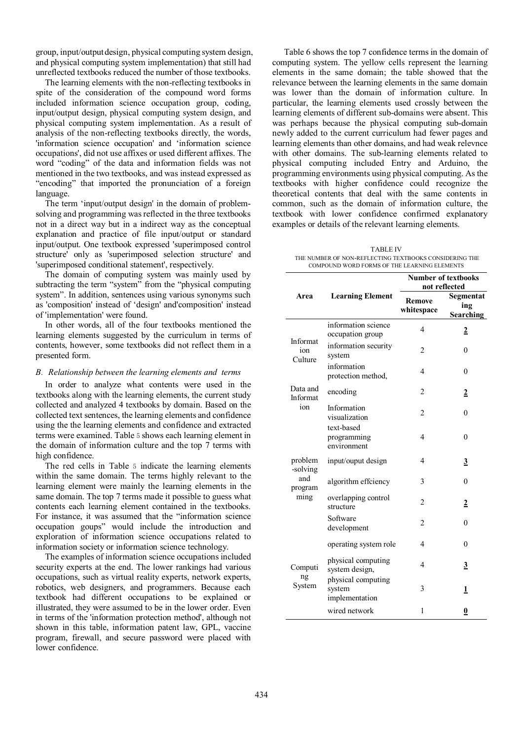group, input/output design, physical computing system design, and physical computing system implementation) that still had unreflected textbooks reduced the number of those textbooks.

The learning elements with the non-reflecting textbooks in spite of the consideration of the compound word forms included information science occupation group, coding, input/output design, physical computing system design, and physical computing system implementation. As a result of analysis of the non-reflecting textbooks directly, the words, 'information science occupation' and 'information science occupations', did not use affixes or used different affixes. The word "coding" of the data and information fields was not mentioned in the two textbooks, and was instead expressed as "encoding" that imported the pronunciation of a foreign language.

The term 'input/output design' in the domain of problemsolving and programming was reflected in the three textbooks not in a direct way but in a indirect way as the conceptual explanation and practice of file input/output or standard input/output. One textbook expressed 'superimposed control structure' only as 'superimposed selection structure' and 'superimposed conditional statement', respectively.

The domain of computing system was mainly used by subtracting the term "system" from the "physical computing system". In addition, sentences using various synonyms such as 'composition' instead of 'design' and'composition' instead of 'implementation' were found.

In other words, all of the four textbooks mentioned the learning elements suggested by the curriculum in terms of contents, however, some textbooks did not reflect them in a presented form.

### *B. Relationship between the learning elements and terms*

In order to analyze what contents were used in the textbooks along with the learning elements, the current study collected and analyzed 4 textbooks by domain. Based on the collected text sentences, the learning elements and confidence using the the learning elements and confidence and extracted terms were examined. Table 5 shows each learning element in the domain of information culture and the top 7 terms with high confidence.

The red cells in Table 5 indicate the learning elements within the same domain. The terms highly relevant to the learning element were mainly the learning elements in the same domain. The top 7 terms made it possible to guess what contents each learning element contained in the textbooks. For instance, it was assumed that the "information science occupation goups" would include the introduction and exploration of information science occupations related to information society or information science technology.

The examples of information science occupations included security experts at the end. The lower rankings had various occupations, such as virtual reality experts, network experts, robotics, web designers, and programmers. Because each textbook had different occupations to be explained or illustrated, they were assumed to be in the lower order. Even in terms of the 'information protection method', although not shown in this table, information patent law, GPL, vaccine program, firewall, and secure password were placed with lower confidence.

 Table 6 shows the top 7 confidence terms in the domain of computing system. The yellow cells represent the learning elements in the same domain; the table showed that the relevance between the learning elements in the same domain was lower than the domain of information culture. In particular, the learning elements used crossly between the learning elements of different sub-domains were absent. This was perhaps because the physical computing sub-domain newly added to the current curriculum had fewer pages and learning elements than other domains, and had weak relevnce with other domains. The sub-learning elements related to physical computing included Entry and Arduino, the programming environments using physical computing. As the textbooks with higher confidence could recognize the theoretical contents that deal with the same contents in common, such as the domain of information culture, the textbook with lower confidence confirmed explanatory examples or details of the relevant learning elements.

TABLE Ⅳ THE NUMBER OF NON-REFLECTING TEXTBOOKS CONSIDERING THE COMPOUND WORD FORMS OF THE LEARNING ELEMENTS

|                            |                                                | <b>Number of textbooks</b><br>not reflected |                                      |  |  |
|----------------------------|------------------------------------------------|---------------------------------------------|--------------------------------------|--|--|
| Area                       | <b>Learning Element</b>                        | Remove<br>whitespace                        | Segmentat<br>ing<br><b>Searching</b> |  |  |
|                            | information science<br>occupation group        | 4                                           | $\overline{2}$                       |  |  |
| Informat<br>ion<br>Culture | information security<br>system                 | 2                                           | 0                                    |  |  |
|                            | information<br>protection method,              | 4                                           | 0                                    |  |  |
| Data and<br>Informat       | encoding                                       | 2                                           | $\overline{2}$                       |  |  |
| ion                        | Information<br>visualization                   | 2                                           | $\theta$                             |  |  |
|                            | text-based<br>programming<br>environment       | 4                                           | $\theta$                             |  |  |
| problem<br>-solving        | input/ouput design                             | 4                                           | <u>3</u>                             |  |  |
| and<br>program             | algorithm effciency                            | 3                                           | 0                                    |  |  |
| ming                       | overlapping control<br>structure               | $\overline{2}$                              | 2                                    |  |  |
|                            | Software<br>development                        | 2                                           | $\mathbf{0}$                         |  |  |
|                            | operating system role                          | 4                                           | $\theta$                             |  |  |
| Computi                    | physical computing<br>system design,           | 4                                           | <u>3</u>                             |  |  |
| ng<br>System               | physical computing<br>system<br>implementation | 3                                           | 1                                    |  |  |
|                            | wired network                                  | 1                                           | 0                                    |  |  |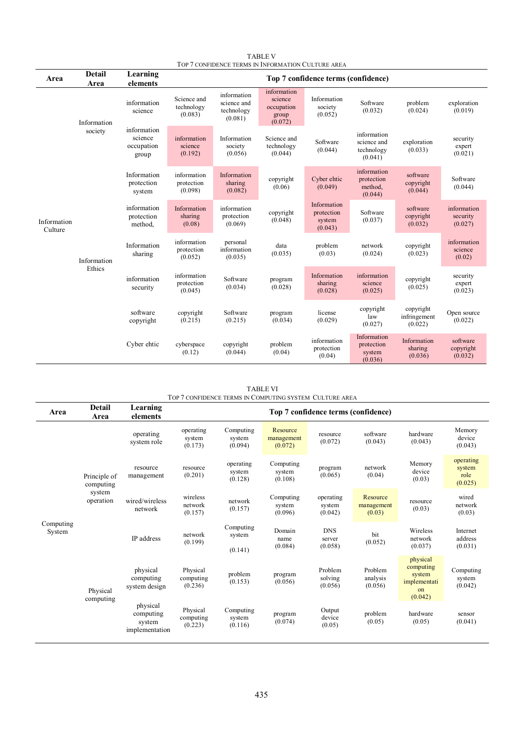|                        | TOP 7 CONFIDENCE TERMS IN INFORMATION CULTURE AREA |                                               |                                      |                                                     |                                                          |                                                |                                                     |                                      |                                    |
|------------------------|----------------------------------------------------|-----------------------------------------------|--------------------------------------|-----------------------------------------------------|----------------------------------------------------------|------------------------------------------------|-----------------------------------------------------|--------------------------------------|------------------------------------|
| Area                   | <b>Detail</b><br>Area                              | Learning<br>elements                          | Top 7 confidence terms (confidence)  |                                                     |                                                          |                                                |                                                     |                                      |                                    |
| Information<br>Culture | Information<br>society                             | information<br>science                        | Science and<br>technology<br>(0.083) | information<br>science and<br>technology<br>(0.081) | information<br>science<br>occupation<br>group<br>(0.072) | Information<br>society<br>(0.052)              | Software<br>(0.032)                                 | problem<br>(0.024)                   | exploration<br>(0.019)             |
|                        |                                                    | information<br>science<br>occupation<br>group | information<br>science<br>(0.192)    | Information<br>society<br>(0.056)                   | Science and<br>technology<br>(0.044)                     | Software<br>(0.044)                            | information<br>science and<br>technology<br>(0.041) | exploration<br>(0.033)               | security<br>expert<br>(0.021)      |
|                        | Information<br>Ethics                              | Information<br>protection<br>system           | information<br>protection<br>(0.098) | Information<br>sharing<br>(0.082)                   | copyright<br>(0.06)                                      | Cyber ehtic<br>(0.049)                         | information<br>protection<br>method,<br>(0.044)     | software<br>copyright<br>(0.044)     | Software<br>(0.044)                |
|                        |                                                    | information<br>protection<br>method,          | Information<br>sharing<br>(0.08)     | information<br>protection<br>(0.069)                | copyright<br>(0.048)                                     | Information<br>protection<br>system<br>(0.043) | Software<br>(0.037)                                 | software<br>copyright<br>(0.032)     | information<br>security<br>(0.027) |
|                        |                                                    | Information<br>sharing                        | information<br>protection<br>(0.052) | personal<br>information<br>(0.035)                  | data<br>(0.035)                                          | problem<br>(0.03)                              | network<br>(0.024)                                  | copyright<br>(0.023)                 | information<br>science<br>(0.02)   |
|                        |                                                    | information<br>security                       | information<br>protection<br>(0.045) | Software<br>(0.034)                                 | program<br>(0.028)                                       | Information<br>sharing<br>(0.028)              | information<br>science<br>(0.025)                   | copyright<br>(0.025)                 | security<br>expert<br>(0.023)      |
|                        |                                                    | software<br>copyright                         | copyright<br>(0.215)                 | Software<br>(0.215)                                 | program<br>(0.034)                                       | license<br>(0.029)                             | copyright<br>law<br>(0.027)                         | copyright<br>infringement<br>(0.022) | Open source<br>(0.022)             |
|                        |                                                    | Cyber ehtic                                   | cyberspace<br>(0.12)                 | copyright<br>(0.044)                                | problem<br>(0.04)                                        | information<br>protection<br>(0.04)            | Information<br>protection<br>system<br>(0.036)      | Information<br>sharing<br>(0.036)    | software<br>copyright<br>(0.032)   |

TABLE Ⅴ

TABLE Ⅵ TOP 7 CONFIDENCE TERMS IN COMPUTING SYSTEM CULTURE AREA

| Area                | <b>Detail</b><br>Area                            | Learning<br>elements                              | Top 7 confidence terms (confidence) |                                |                                   |                                 |                                  |                                                                  |                                        |
|---------------------|--------------------------------------------------|---------------------------------------------------|-------------------------------------|--------------------------------|-----------------------------------|---------------------------------|----------------------------------|------------------------------------------------------------------|----------------------------------------|
| Computing<br>System | Principle of<br>computing<br>system<br>operation | operating<br>system role                          | operating<br>system<br>(0.173)      | Computing<br>system<br>(0.094) | Resource<br>management<br>(0.072) | resource<br>(0.072)             | software<br>(0.043)              | hardware<br>(0.043)                                              | Memory<br>device<br>(0.043)            |
|                     |                                                  | resource<br>management                            | resource<br>(0.201)                 | operating<br>system<br>(0.128) | Computing<br>system<br>(0.108)    | program<br>(0.065)              | network<br>(0.04)                | Memory<br>device<br>(0.03)                                       | operating<br>system<br>role<br>(0.025) |
|                     |                                                  | wired/wireless<br>network                         | wireless<br>network<br>(0.157)      | network<br>(0.157)             | Computing<br>system<br>(0.096)    | operating<br>system<br>(0.042)  | Resource<br>management<br>(0.03) | resource<br>(0.03)                                               | wired<br>network<br>(0.03)             |
|                     |                                                  | IP address                                        | network<br>(0.199)                  | Computing<br>system<br>(0.141) | Domain<br>name<br>(0.084)         | <b>DNS</b><br>server<br>(0.058) | bit<br>(0.052)                   | Wireless<br>network<br>(0.037)                                   | Internet<br>address<br>(0.031)         |
|                     | Physical<br>computing                            | physical<br>computing<br>system design            | Physical<br>computing<br>(0.236)    | problem<br>(0.153)             | program<br>(0.056)                | Problem<br>solving<br>(0.056)   | Problem<br>analysis<br>(0.056)   | physical<br>computing<br>system<br>implementati<br>on<br>(0.042) | Computing<br>system<br>(0.042)         |
|                     |                                                  | physical<br>computing<br>system<br>implementation | Physical<br>computing<br>(0.223)    | Computing<br>system<br>(0.116) | program<br>(0.074)                | Output<br>device<br>(0.05)      | problem<br>(0.05)                | hardware<br>(0.05)                                               | sensor<br>(0.041)                      |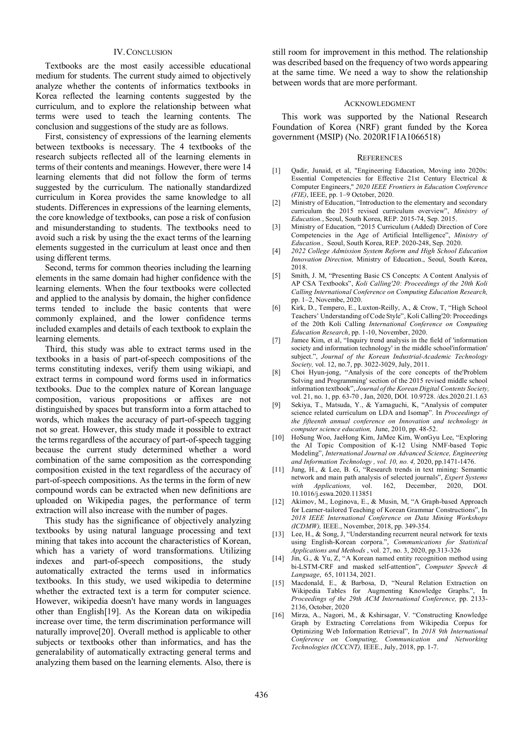# IV.CONCLUSION

Textbooks are the most easily accessible educational medium for students. The current study aimed to objectively analyze whether the contents of informatics textbooks in Korea reflected the learning contents suggested by the curriculum, and to explore the relationship between what terms were used to teach the learning contents. The conclusion and suggestions of the study are as follows.

First, consistency of expressions of the learning elements between textbooks is necessary. The 4 textbooks of the research subjects reflected all of the learning elements in terms of their contents and meanings. However, there were 14 learning elements that did not follow the form of terms suggested by the curriculum. The nationally standardized curriculum in Korea provides the same knowledge to all students. Differences in expressions of the learning elements, the core knowledge of textbooks, can pose a risk of confusion and misunderstanding to students. The textbooks need to avoid such a risk by using the the exact terms of the learning elements suggested in the curriculum at least once and then using different terms.

Second, terms for common theories including the learning elements in the same domain had higher confidence with the learning elements. When the four textbooks were collected and applied to the analysis by domain, the higher confidence terms tended to include the basic contents that were commonly explained, and the lower confidence terms included examples and details of each textbook to explain the learning elements.

Third, this study was able to extract terms used in the textbooks in a basis of part-of-speech compositions of the terms constituting indexes, verify them using wikiapi, and extract terms in compound word forms used in informatics textbooks. Due to the complex nature of Korean language composition, various propositions or affixes are not distinguished by spaces but transform into a form attached to words, which makes the accuracy of part-of-speech tagging not so great. However, this study made it possible to extract the terms regardless of the accuracy of part-of-speech tagging because the current study determined whether a word combination of the same composition as the corresponding composition existed in the text regardless of the accuracy of part-of-speech compositions. As the terms in the form of new compound words can be extracted when new definitions are uploaded on Wikipedia pages, the performance of term extraction will also increase with the number of pages.

This study has the significance of objectively analyzing textbooks by using natural language processing and text mining that takes into account the characteristics of Korean, which has a variety of word transformations. Utilizing indexes and part-of-speech compositions, the study automatically extracted the terms used in informatics textbooks. In this study, we used wikipedia to determine whether the extracted text is a term for computer science. However, wikipedia doesn't have many words in languages other than English[19]. As the Korean data on wikipedia increase over time, the term discrimination performance will naturally improve[20]. Overall method is applicable to other subjects or textbooks other than informatics, and has the generalability of automatically extracting general terms and analyzing them based on the learning elements. Also, there is still room for improvement in this method. The relationship was described based on the frequency of two words appearing at the same time. We need a way to show the relationship between words that are more performant.

#### ACKNOWLEDGMENT

This work was supported by the National Research Foundation of Korea (NRF) grant funded by the Korea government (MSIP) (No. 2020R1F1A1066518)

#### **REFERENCES**

- [1] Qadir, Junaid, et al, "Engineering Education, Moving into 2020s: Essential Competencies for Effective 21st Century Electrical & Computer Engineers," *2020 IEEE Frontiers in Education Conference (FIE)*, IEEE, pp. 1–9 October, 2020.
- [2] Ministry of Education, "Introduction to the elementary and secondary curriculum the 2015 revised curriculum overview", *Ministry of Education.*, Seoul, South Korea, REP. 2015-74, Sep. 2015.
- [3] Ministry of Education, "2015 Curriculum (Added) Direction of Core Competencies in the Age of Artificial Intelligence", *Ministry of Education.,* Seoul, South Korea, REP. 2020-248, Sep. 2020.
- [4] *2022 College Admission System Reform and High School Education Innovation Direction,* Ministry of Education., Seoul, South Korea, 2018.
- [5] Smith, J. M, "Presenting Basic CS Concepts: A Content Analysis of AP CSA Textbooks", *Koli Calling'20: Proceedings of the 20th Koli Calling International Conference on Computing Education Research,*  pp. 1–2, Novembe, 2020.
- [6] Kirk, D., Tempero, E., Luxton-Reilly, A., & Crow, T, "High School Teachers' Understanding of Code Style", Koli Calling'20: Proceedings of the 20th Koli Calling *International Conference on Computing Education Research*, pp. 1-10, November, 2020.
- [7] Jamee Kim, et al, "Inquiry trend analysis in the field of 'information society and information technology' in the middle school'information' subject.", *Journal of the Korean Industrial-Academic Technology Society,* vol. 12, no.7, pp. 3022-3029, July, 2011.
- [8] Choi Hyun-jong, "Analysis of the core concepts of the'Problem Solving and Programming' section of the 2015 revised middle school information textbook", *Journal of the Korean Digital Contents Society,* vol. 21, no. 1, pp. 63-70 , Jan, 2020, DOI. 10.9728. /dcs.2020.21.1.63
- [9] Sekiya, T., Matsuda, Y., & Yamaguchi, K, "Analysis of computer science related curriculum on LDA and Isomap". In *Proceedings of the fifteenth annual conference on Innovation and technology in computer science education,* June, 2010, pp. 48-52.
- [10] HoSung Woo, JaeHong Kim, JaMee Kim, WonGyu Lee, "Exploring the AI Topic Composition of K-12 Using NMF-based Topic Modeling", *International Journal on Advanced Science, Engineering and Information Technology , vol. 10, no. 4,* 2020, pp.1471-1476.
- [11] Jung, H., & Lee, B. G, "Research trends in text mining: Semantic network and main path analysis of selected journals", *Expert Systems with Applications,* vol. 162, December, 2020, DOI. 10.1016/j.eswa.2020.113851
- [12] Akimov, M., Loginova, E., & Musin, M, "A Graph-based Approach for Learner-tailored Teaching of Korean Grammar Constructions", In *2018 IEEE International Conference on Data Mining Workshops (ICDMW),* IEEE., November, 2018, pp. 349-354.
- [13] Lee, H., & Song, J, "Understanding recurrent neural network for texts using English-Korean corpora.", *Communications for Statistical Applications and Methods* , vol. 27, no. 3, 2020, pp.313-326
- [14] Jin, G., & Yu, Z, "A Korean named entity recognition method using bi-LSTM-CRF and masked self-attention", *Computer Speech & Language*, 65, 101134, 2021.
- [15] Macdonald, E., & Barbosa, D, "Neural Relation Extraction on Wikipedia Tables for Augmenting Knowledge Graphs.", In *Proceedings of the 29th ACM International Conference,* pp. 2133- 2136, October, 2020
- [16] Mirza, A., Nagori, M., & Kshirsagar, V. "Constructing Knowledge Graph by Extracting Correlations from Wikipedia Corpus for Optimizing Web Information Retrieval", In *2018 9th International Conference on Computing, Communication and Networking Technologies (ICCCNT),* IEEE., July, 2018, pp. 1-7.